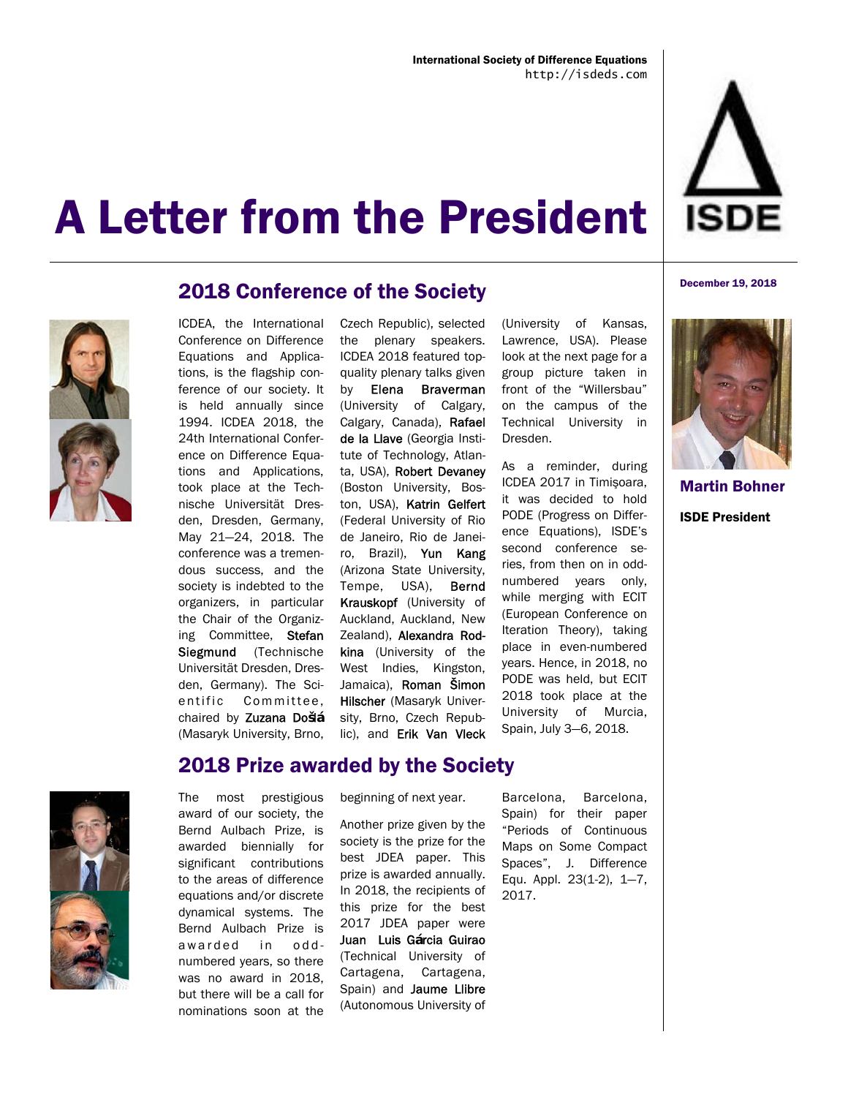



### 2018 Conference of the Society

ICDEA, the International Conference on Difference Equations and Applications, is the flagship conference of our society. It is held annually since 1994. ICDEA 2018, the 24th International Conference on Difference Equations and Applications, took place at the Technische Universität Dresden, Dresden, Germany, May 21—24, 2018. The conference was a tremendous success, and the society is indebted to the organizers, in particular the Chair of the Organizing Committee, Stefan Siegmund (Technische Universität Dresden, Dresden, Germany). The Scientific Committee, chaired by Zuzana Do**š**l**á** (Masaryk University, Brno,

the plenary speakers. ICDEA 2018 featured topquality plenary talks given by Elena Braverman (University of Calgary, Calgary, Canada), Rafael de la Llave (Georgia Institute of Technology, Atlanta, USA), Robert Devaney (Boston University, Boston, USA), Katrin Gelfert (Federal University of Rio de Janeiro, Rio de Janeiro, Brazil), Yun Kang (Arizona State University, Tempe, USA), Bernd Krauskopf (University of Auckland, Auckland, New Zealand), Alexandra Rodkina (University of the West Indies, Kingston, Jamaica), Roman Šimon Hilscher (Masaryk University, Brno, Czech Republic), and Erik Van Vleck

Czech Republic), selected

(University of Kansas, Lawrence, USA). Please look at the next page for a group picture taken in front of the "Willersbau" on the campus of the Technical University in Dresden.

As a reminder, during ICDEA 2017 in Timişoara, it was decided to hold PODE (Progress on Difference Equations), ISDE's second conference series, from then on in oddnumbered years only, while merging with ECIT (European Conference on Iteration Theory), taking place in even-numbered years. Hence, in 2018, no PODE was held, but ECIT 2018 took place at the University of Murcia, Spain, July 3—6, 2018.



Martin Bohner ISDE President



### The most prestigious

2018 Prize awarded by the Society

award of our society, the Bernd Aulbach Prize, is awarded biennially for significant contributions to the areas of difference equations and/or discrete dynamical systems. The Bernd Aulbach Prize is awarded in oddnumbered years, so there was no award in 2018, but there will be a call for nominations soon at the beginning of next year.

Another prize given by the society is the prize for the best JDEA paper. This prize is awarded annually. In 2018, the recipients of this prize for the best 2017 JDEA paper were Juan Luis G**á**rcia Guirao (Technical University of Cartagena, Cartagena, Spain) and Jaume Llibre (Autonomous University of Barcelona, Barcelona, Spain) for their paper "Periods of Continuous Maps on Some Compact Spaces", J. Difference Equ. Appl. 23(1-2), 1—7, 2017.

#### December 19, 2018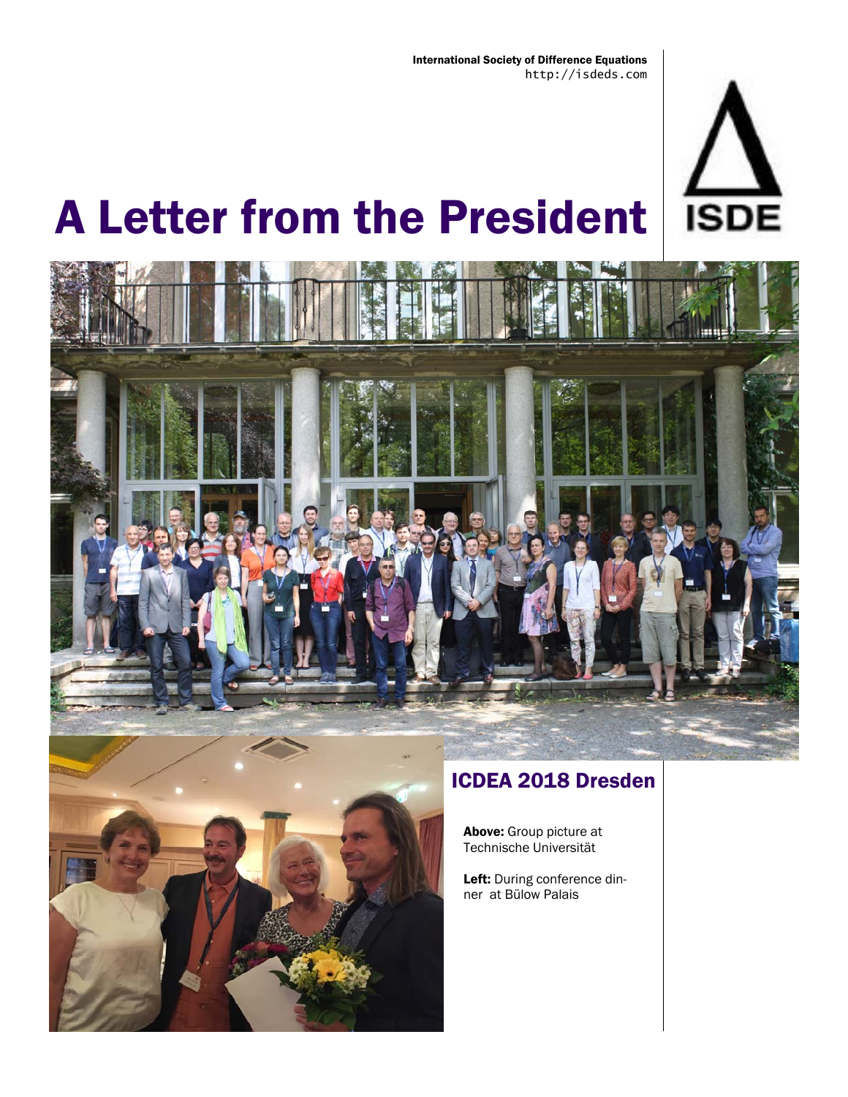





## ICDEA 2018 Dresden

Above: Group picture at Technische Universität

Left: During conference dinner at Bülow Palais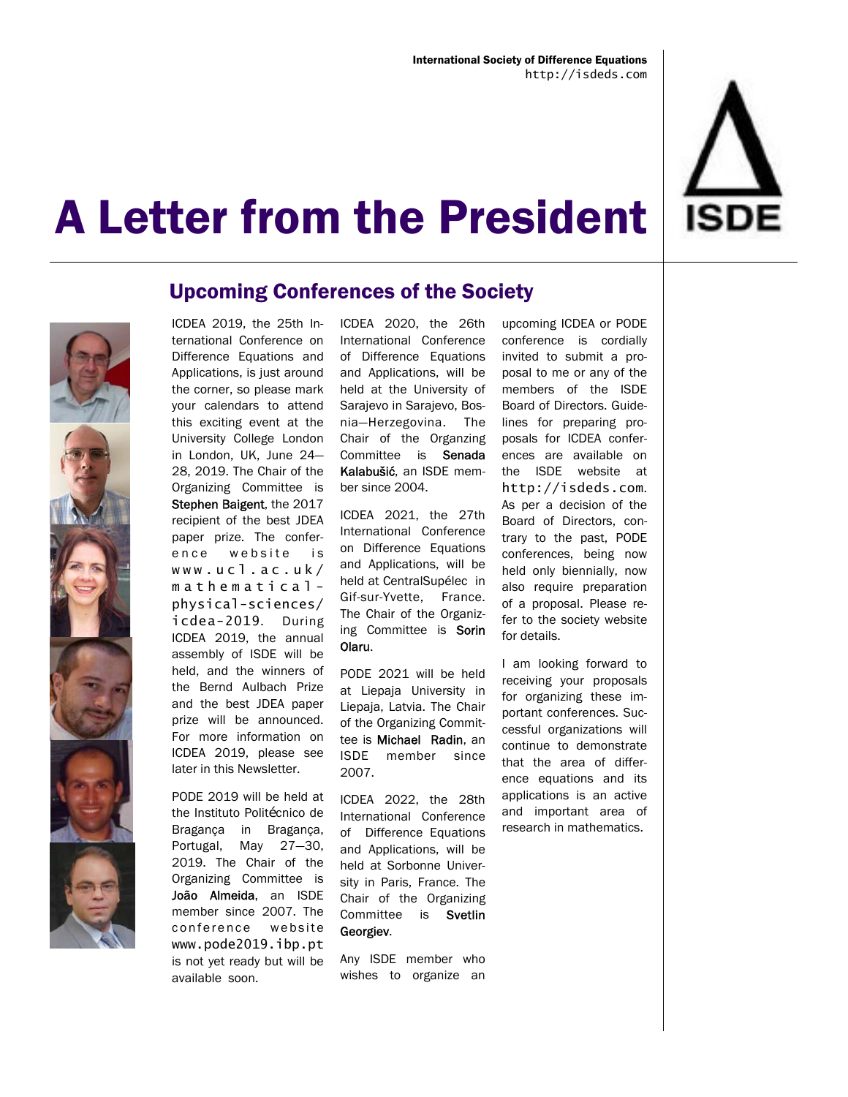



### Upcoming Conferences of the Society

ICDEA 2019, the 25th International Conference on Difference Equations and Applications, is just around the corner, so please mark your calendars to attend this exciting event at the University College London in London, UK, June 24— 28, 2019. The Chair of the Organizing Committee is Stephen Baigent, the 2017 recipient of the best JDEA paper prize. The conference website is www.ucl.ac.uk/ mathematicalphysical-sciences/ icdea-2019. During ICDEA 2019, the annual assembly of ISDE will be held, and the winners of the Bernd Aulbach Prize and the best JDEA paper prize will be announced. For more information on ICDEA 2019, please see later in this Newsletter.

PODE 2019 will be held at the Instituto Politécnico de Bragança in Bragança, Portugal, May 27—30, 2019. The Chair of the Organizing Committee is João Almeida, an ISDE member since 2007. The conference website www.pode2019.ibp.pt is not yet ready but will be available soon.

ICDEA 2020, the 26th International Conference of Difference Equations and Applications, will be held at the University of Sarajevo in Sarajevo, Bosnia—Herzegovina. The Chair of the Organzing Committee is Senada Kalabušić, an ISDE member since 2004.

ICDEA 2021, the 27th International Conference on Difference Equations and Applications, will be held at CentralSupélec in Gif-sur-Yvette, France. The Chair of the Organizing Committee is Sorin Olaru.

PODE 2021 will be held at Liepaja University in Liepaja, Latvia. The Chair of the Organizing Committee is Michael Radin, an ISDE member since 2007.

ICDEA 2022, the 28th International Conference of Difference Equations and Applications, will be held at Sorbonne University in Paris, France. The Chair of the Organizing Committee is Svetlin Georgiev.

Any ISDE member who wishes to organize an

upcoming ICDEA or PODE conference is cordially invited to submit a proposal to me or any of the members of the ISDE Board of Directors. Guidelines for preparing proposals for ICDEA conferences are available on the ISDE website at http://isdeds.com. As per a decision of the Board of Directors, contrary to the past, PODE conferences, being now held only biennially, now also require preparation of a proposal. Please refer to the society website for details.

I am looking forward to receiving your proposals for organizing these important conferences. Successful organizations will continue to demonstrate that the area of difference equations and its applications is an active and important area of research in mathematics.